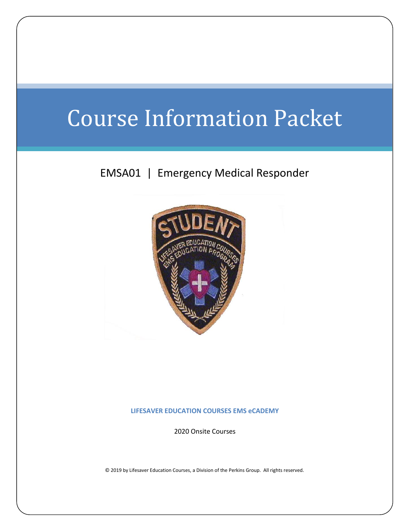# Course Information Packet

## EMSA01 | Emergency Medical Responder



#### **LIFESAVER EDUCATION COURSES EMS eCADEMY**

2020 Onsite Courses

© 2019 by Lifesaver Education Courses, a Division of the Perkins Group. All rights reserved.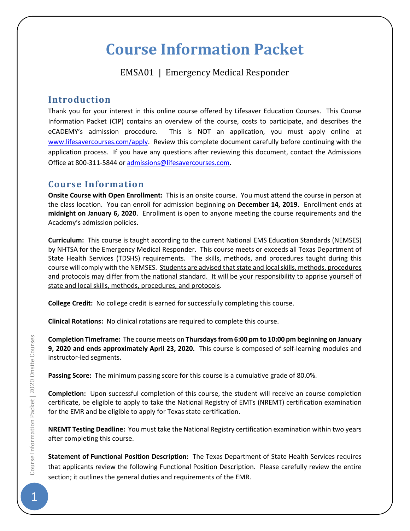## **Course Information Packet**

## EMSA01 | Emergency Medical Responder

### **Introduction**

Thank you for your interest in this online course offered by Lifesaver Education Courses. This Course Information Packet (CIP) contains an overview of the course, costs to participate, and describes the eCADEMY's admission procedure. This is NOT an application, you must apply online at [www.lifesavercourses.com/](http://www.lifesavercourses.com/)apply. Review this complete document carefully before continuing with the application process. If you have any questions after reviewing this document, contact the Admissions Office at 800-311-5844 o[r admissions@lifesavercourses.com.](mailto:admissions@lifesavercourses.com)

## **Course Information**

**Onsite Course with Open Enrollment:** This is an onsite course. You must attend the course in person at the class location. You can enroll for admission beginning on **December 14, 2019.** Enrollment ends at **midnight on January 6, 2020**. Enrollment is open to anyone meeting the course requirements and the Academy's admission policies.

**Curriculum:** This course is taught according to the current National EMS Education Standards (NEMSES) by NHTSA for the Emergency Medical Responder. This course meets or exceeds all Texas Department of State Health Services (TDSHS) requirements. The skills, methods, and procedures taught during this course will comply with the NEMSES. Students are advised that state and local skills, methods, procedures and protocols may differ from the national standard. It will be your responsibility to apprise yourself of state and local skills, methods, procedures, and protocols.

**College Credit:** No college credit is earned for successfully completing this course.

**Clinical Rotations:** No clinical rotations are required to complete this course.

**Completion Timeframe:** The course meets on **Thursdays from 6:00 pm to 10:00 pm beginning on January 9, 2020 and ends approximately April 23, 2020.** This course is composed of self-learning modules and instructor-led segments.

**Passing Score:** The minimum passing score for this course is a cumulative grade of 80.0%.

**Completion:** Upon successful completion of this course, the student will receive an course completion certificate, be eligible to apply to take the National Registry of EMTs (NREMT) certification examination for the EMR and be eligible to apply for Texas state certification.

**NREMT Testing Deadline:** You must take the National Registry certification examination within two years after completing this course.

**Statement of Functional Position Description:** The Texas Department of State Health Services requires that applicants review the following Functional Position Description. Please carefully review the entire section; it outlines the general duties and requirements of the EMR.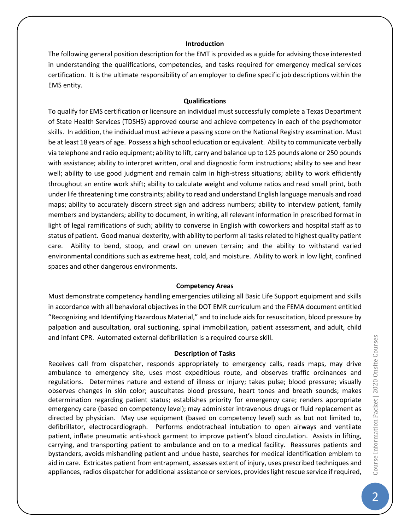#### **Introduction**

The following general position description for the EMT is provided as a guide for advising those interested in understanding the qualifications, competencies, and tasks required for emergency medical services certification. It is the ultimate responsibility of an employer to define specific job descriptions within the EMS entity.

#### **Qualifications**

To qualify for EMS certification or licensure an individual must successfully complete a Texas Department of State Health Services (TDSHS) approved course and achieve competency in each of the psychomotor skills. In addition, the individual must achieve a passing score on the National Registry examination. Must be at least 18 years of age. Possess a high school education or equivalent. Ability to communicate verbally via telephone and radio equipment; ability to lift, carry and balance up to 125 pounds alone or 250 pounds with assistance; ability to interpret written, oral and diagnostic form instructions; ability to see and hear well; ability to use good judgment and remain calm in high-stress situations; ability to work efficiently throughout an entire work shift; ability to calculate weight and volume ratios and read small print, both under life threatening time constraints; ability to read and understand English language manuals and road maps; ability to accurately discern street sign and address numbers; ability to interview patient, family members and bystanders; ability to document, in writing, all relevant information in prescribed format in light of legal ramifications of such; ability to converse in English with coworkers and hospital staff as to status of patient. Good manual dexterity, with ability to perform all tasks related to highest quality patient care. Ability to bend, stoop, and crawl on uneven terrain; and the ability to withstand varied environmental conditions such as extreme heat, cold, and moisture. Ability to work in low light, confined spaces and other dangerous environments.

#### **Competency Areas**

Must demonstrate competency handling emergencies utilizing all Basic Life Support equipment and skills in accordance with all behavioral objectives in the DOT EMR curriculum and the FEMA document entitled "Recognizing and Identifying Hazardous Material," and to include aids for resuscitation, blood pressure by palpation and auscultation, oral suctioning, spinal immobilization, patient assessment, and adult, child and infant CPR. Automated external defibrillation is a required course skill.

#### **Description of Tasks**

Receives call from dispatcher, responds appropriately to emergency calls, reads maps, may drive ambulance to emergency site, uses most expeditious route, and observes traffic ordinances and regulations. Determines nature and extend of illness or injury; takes pulse; blood pressure; visually observes changes in skin color; auscultates blood pressure, heart tones and breath sounds; makes determination regarding patient status; establishes priority for emergency care; renders appropriate emergency care (based on competency level); may administer intravenous drugs or fluid replacement as directed by physician. May use equipment (based on competency level) such as but not limited to, defibrillator, electrocardiograph. Performs endotracheal intubation to open airways and ventilate patient, inflate pneumatic anti-shock garment to improve patient's blood circulation. Assists in lifting, carrying, and transporting patient to ambulance and on to a medical facility. Reassures patients and bystanders, avoids mishandling patient and undue haste, searches for medical identification emblem to aid in care. Extricates patient from entrapment, assesses extent of injury, uses prescribed techniques and appliances, radios dispatcher for additional assistance or services, provides light rescue service if required,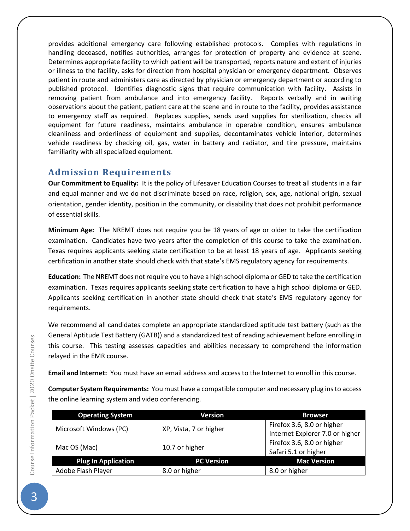provides additional emergency care following established protocols. Complies with regulations in handling deceased, notifies authorities, arranges for protection of property and evidence at scene. Determines appropriate facility to which patient will be transported, reports nature and extent of injuries or illness to the facility, asks for direction from hospital physician or emergency department. Observes patient in route and administers care as directed by physician or emergency department or according to published protocol. Identifies diagnostic signs that require communication with facility. Assists in removing patient from ambulance and into emergency facility. Reports verbally and in writing observations about the patient, patient care at the scene and in route to the facility, provides assistance to emergency staff as required. Replaces supplies, sends used supplies for sterilization, checks all equipment for future readiness, maintains ambulance in operable condition, ensures ambulance cleanliness and orderliness of equipment and supplies, decontaminates vehicle interior, determines vehicle readiness by checking oil, gas, water in battery and radiator, and tire pressure, maintains familiarity with all specialized equipment.

## **Admission Requirements**

**Our Commitment to Equality:** It is the policy of Lifesaver Education Courses to treat all students in a fair and equal manner and we do not discriminate based on race, religion, sex, age, national origin, sexual orientation, gender identity, position in the community, or disability that does not prohibit performance of essential skills.

**Minimum Age:** The NREMT does not require you be 18 years of age or older to take the certification examination. Candidates have two years after the completion of this course to take the examination. Texas requires applicants seeking state certification to be at least 18 years of age. Applicants seeking certification in another state should check with that state's EMS regulatory agency for requirements.

**Education:** The NREMT does not require you to have a high school diploma or GED to take the certification examination. Texas requires applicants seeking state certification to have a high school diploma or GED. Applicants seeking certification in another state should check that state's EMS regulatory agency for requirements.

We recommend all candidates complete an appropriate standardized aptitude test battery (such as the General Aptitude Test Battery (GATB)) and a standardized test of reading achievement before enrolling in this course. This testing assesses capacities and abilities necessary to comprehend the information relayed in the EMR course.

**Email and Internet:** You must have an email address and access to the Internet to enroll in this course.

**Computer System Requirements:** You must have a compatible computer and necessary plug insto access the online learning system and video conferencing.

| <b>Operating System</b>    | <b>Version</b>         | <b>Browser</b>                  |  |
|----------------------------|------------------------|---------------------------------|--|
| Microsoft Windows (PC)     | XP, Vista, 7 or higher | Firefox 3.6, 8.0 or higher      |  |
|                            |                        | Internet Explorer 7.0 or higher |  |
| Mac OS (Mac)               | 10.7 or higher         | Firefox 3.6, 8.0 or higher      |  |
|                            |                        | Safari 5.1 or higher            |  |
| <b>Plug In Application</b> | <b>PC Version</b>      | <b>Mac Version</b>              |  |
| Adobe Flash Player         | 8.0 or higher          | 8.0 or higher                   |  |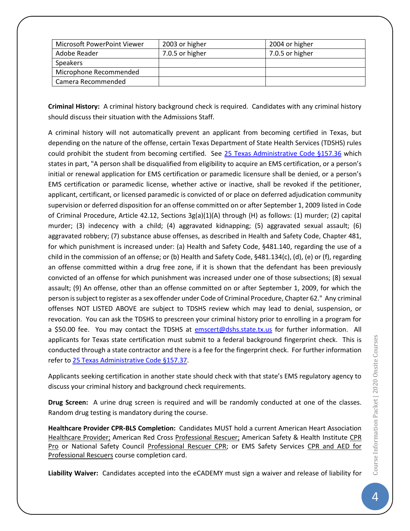| Microsoft PowerPoint Viewer | 2003 or higher  | 2004 or higher  |
|-----------------------------|-----------------|-----------------|
| Adobe Reader                | 7.0.5 or higher | 7.0.5 or higher |
| <b>Speakers</b>             |                 |                 |
| Microphone Recommended      |                 |                 |
| Camera Recommended          |                 |                 |

**Criminal History:** A criminal history background check is required. Candidates with any criminal history should discuss their situation with the Admissions Staff.

A criminal history will not automatically prevent an applicant from becoming certified in Texas, but depending on the nature of the offense, certain Texas Department of State Health Services (TDSHS) rules could prohibit the student from becoming certified. See [25 Texas Administrative Code §157.36](http://info.sos.state.tx.us/pls/pub/readtac$ext.TacPage?sl=R&app=9&p_dir=&p_rloc=&p_tloc=&p_ploc=&pg=1&p_tac=&ti=25&pt=1&ch=157&rl=36) which states in part, "A person shall be disqualified from eligibility to acquire an EMS certification, or a person's initial or renewal application for EMS certification or paramedic licensure shall be denied, or a person's EMS certification or paramedic license, whether active or inactive, shall be revoked if the petitioner, applicant, certificant, or licensed paramedic is convicted of or place on deferred adjudication community supervision or deferred disposition for an offense committed on or after September 1, 2009 listed in Code of Criminal Procedure, Article 42.12, Sections 3g(a)(1)(A) through (H) as follows: (1) murder; (2) capital murder; (3) indecency with a child; (4) aggravated kidnapping; (5) aggravated sexual assault; (6) aggravated robbery; (7) substance abuse offenses, as described in Health and Safety Code, Chapter 481, for which punishment is increased under: (a) Health and Safety Code, §481.140, regarding the use of a child in the commission of an offense; or (b) Health and Safety Code, §481.134(c), (d), (e) or (f), regarding an offense committed within a drug free zone, if it is shown that the defendant has been previously convicted of an offense for which punishment was increased under one of those subsections; (8) sexual assault; (9) An offense, other than an offense committed on or after September 1, 2009, for which the person is subject to register as a sex offender under Code of Criminal Procedure, Chapter 62." Any criminal offenses NOT LISTED ABOVE are subject to TDSHS review which may lead to denial, suspension, or revocation. You can ask the TDSHS to prescreen your criminal history prior to enrolling in a program for a \$50.00 fee. You may contact the TDSHS at [emscert@dshs.state.tx.us](file:///C:/Users/P/Documents/TPGOC/LEC/EMS%20Education%20Program/EMS%20eCADEMY/ECA%20Course/emscert@dshs.state.tx.us) for further information. All applicants for Texas state certification must submit to a federal background fingerprint check. This is conducted through a state contractor and there is a fee for the fingerprint check. For further information refer t[o 25 Texas Administrative Code](http://info.sos.state.tx.us/pls/pub/readtac$ext.TacPage?sl=R&app=9&p_dir=&p_rloc=&p_tloc=&p_ploc=&pg=1&p_tac=&ti=25&pt=1&ch=157&rl=37) §157.37.

Applicants seeking certification in another state should check with that state's EMS regulatory agency to discuss your criminal history and background check requirements.

**Drug Screen:** A urine drug screen is required and will be randomly conducted at one of the classes. Random drug testing is mandatory during the course.

**Healthcare Provider CPR-BLS Completion:** Candidates MUST hold a current American Heart Association Healthcare Provider; American Red Cross Professional Rescuer; American Safety & Health Institute CPR Pro or National Safety Council Professional Rescuer CPR; or EMS Safety Services CPR and AED for Professional Rescuers course completion card.

**Liability Waiver:** Candidates accepted into the eCADEMY must sign a waiver and release of liability for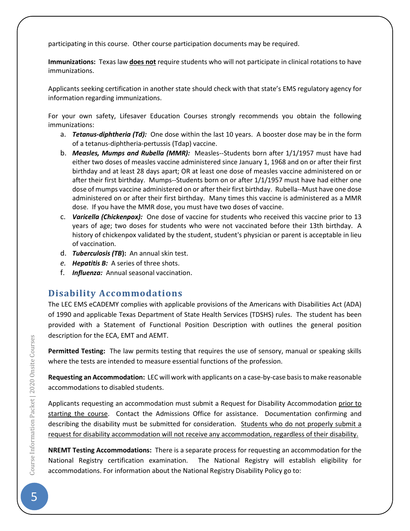participating in this course. Other course participation documents may be required.

**Immunizations:** Texas law **does not** require students who will not participate in clinical rotations to have immunizations.

Applicants seeking certification in another state should check with that state's EMS regulatory agency for information regarding immunizations.

For your own safety, Lifesaver Education Courses strongly recommends you obtain the following immunizations:

- a. *Tetanus-diphtheria (Td):* One dose within the last 10 years. A booster dose may be in the form of a tetanus-diphtheria-pertussis (Tdap) vaccine.
- b. *Measles, Mumps and Rubella (MMR):* Measles--Students born after 1/1/1957 must have had either two doses of measles vaccine administered since January 1, 1968 and on or after their first birthday and at least 28 days apart; OR at least one dose of measles vaccine administered on or after their first birthday. Mumps--Students born on or after 1/1/1957 must have had either one dose of mumps vaccine administered on or after their first birthday. Rubella--Must have one dose administered on or after their first birthday. Many times this vaccine is administered as a MMR dose. If you have the MMR dose, you must have two doses of vaccine.
- c. *Varicella (Chickenpox):* One dose of vaccine for students who received this vaccine prior to 13 years of age; two doses for students who were not vaccinated before their 13th birthday. A history of chickenpox validated by the student, student's physician or parent is acceptable in lieu of vaccination.
- d. *Tuberculosis (TB***):** An annual skin test.
- *e. Hepatitis B:* A series of three shots.
- f. *Influenza:* Annual seasonal vaccination.

## **Disability Accommodations**

The LEC EMS eCADEMY complies with applicable provisions of the Americans with Disabilities Act (ADA) of 1990 and applicable Texas Department of State Health Services (TDSHS) rules. The student has been provided with a Statement of Functional Position Description with outlines the general position description for the ECA, EMT and AEMT.

**Permitted Testing:** The law permits testing that requires the use of sensory, manual or speaking skills where the tests are intended to measure essential functions of the profession.

**Requesting an Accommodation:** LEC will work with applicants on a case-by-case basis to make reasonable accommodations to disabled students.

Applicants requesting an accommodation must submit a Request for Disability Accommodation prior to starting the course. Contact the Admissions Office for assistance. Documentation confirming and describing the disability must be submitted for consideration. Students who do not properly submit a request for disability accommodation will not receive any accommodation, regardless of their disability.

**NREMT Testing Accommodations:** There is a separate process for requesting an accommodation for the National Registry certification examination. The National Registry will establish eligibility for accommodations. For information about the National Registry Disability Policy go to: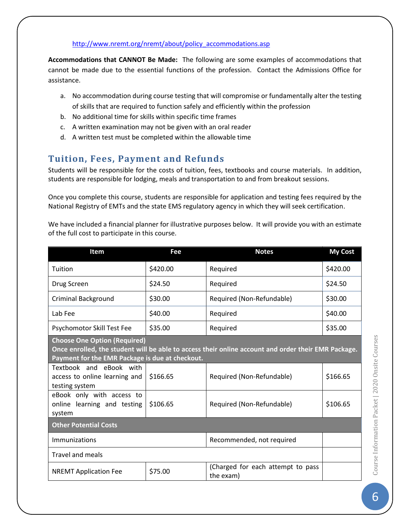#### [http://www.nremt.org/nremt/about/policy\\_accommodations.asp](http://www.nremt.org/nremt/about/policy_accommodations.asp)

**Accommodations that CANNOT Be Made:** The following are some examples of accommodations that cannot be made due to the essential functions of the profession. Contact the Admissions Office for assistance.

- a. No accommodation during course testing that will compromise or fundamentally alter the testing of skills that are required to function safely and efficiently within the profession
- b. No additional time for skills within specific time frames
- c. A written examination may not be given with an oral reader
- d. A written test must be completed within the allowable time

## **Tuition, Fees, Payment and Refunds**

Students will be responsible for the costs of tuition, fees, textbooks and course materials. In addition, students are responsible for lodging, meals and transportation to and from breakout sessions.

Once you complete this course, students are responsible for application and testing fees required by the National Registry of EMTs and the state EMS regulatory agency in which they will seek certification.

We have included a financial planner for illustrative purposes below. It will provide you with an estimate of the full cost to participate in this course.

| <b>Item</b>                                                                                                                                                                                   | Fee      | <b>Notes</b>                                   | <b>My Cost</b> |  |
|-----------------------------------------------------------------------------------------------------------------------------------------------------------------------------------------------|----------|------------------------------------------------|----------------|--|
| Tuition                                                                                                                                                                                       | \$420.00 | Required                                       | \$420.00       |  |
| Drug Screen                                                                                                                                                                                   | \$24.50  | Required                                       | \$24.50        |  |
| <b>Criminal Background</b>                                                                                                                                                                    | \$30.00  | Required (Non-Refundable)                      | \$30.00        |  |
| Lab Fee                                                                                                                                                                                       | \$40.00  | Required                                       | \$40.00        |  |
| Psychomotor Skill Test Fee                                                                                                                                                                    | \$35.00  | Required                                       | \$35.00        |  |
| <b>Choose One Option (Required)</b><br>Once enrolled, the student will be able to access their online account and order their EMR Package.<br>Payment for the EMR Package is due at checkout. |          |                                                |                |  |
| Textbook and eBook with<br>access to online learning and<br>testing system                                                                                                                    | \$166.65 | Required (Non-Refundable)                      | \$166.65       |  |
| eBook only with access to<br>online learning and testing<br>system                                                                                                                            | \$106.65 | Required (Non-Refundable)                      | \$106.65       |  |
| <b>Other Potential Costs</b>                                                                                                                                                                  |          |                                                |                |  |
| Immunizations                                                                                                                                                                                 |          | Recommended, not required                      |                |  |
| <b>Travel and meals</b>                                                                                                                                                                       |          |                                                |                |  |
| <b>NREMT Application Fee</b>                                                                                                                                                                  | \$75.00  | (Charged for each attempt to pass<br>the exam) |                |  |

Course Information Packet | 2020 Onsite Courses **6Course Information Packet** | 2020 Onsite Courses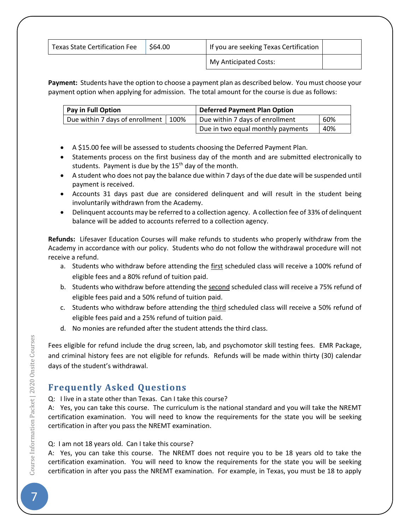| <b>Texas State Certification Fee</b> | \$64.00 | If you are seeking Texas Certification |  |
|--------------------------------------|---------|----------------------------------------|--|
|                                      |         | My Anticipated Costs:                  |  |

**Payment:** Students have the option to choose a payment plan as described below. You must choose your payment option when applying for admission. The total amount for the course is due as follows:

| Pay in Full Option                     |  | <b>Deferred Payment Plan Option</b> |     |
|----------------------------------------|--|-------------------------------------|-----|
| Due within 7 days of enrollment   100% |  | Due within 7 days of enrollment     | 60% |
|                                        |  | Due in two equal monthly payments   | 40% |

- A \$15.00 fee will be assessed to students choosing the Deferred Payment Plan.
- Statements process on the first business day of the month and are submitted electronically to students. Payment is due by the 15<sup>th</sup> day of the month.
- A student who does not pay the balance due within 7 days of the due date will be suspended until payment is received.
- Accounts 31 days past due are considered delinquent and will result in the student being involuntarily withdrawn from the Academy.
- Delinquent accounts may be referred to a collection agency. A collection fee of 33% of delinquent balance will be added to accounts referred to a collection agency.

**Refunds:** Lifesaver Education Courses will make refunds to students who properly withdraw from the Academy in accordance with our policy. Students who do not follow the withdrawal procedure will not receive a refund.

- a. Students who withdraw before attending the first scheduled class will receive a 100% refund of eligible fees and a 80% refund of tuition paid.
- b. Students who withdraw before attending the second scheduled class will receive a 75% refund of eligible fees paid and a 50% refund of tuition paid.
- c. Students who withdraw before attending the third scheduled class will receive a 50% refund of eligible fees paid and a 25% refund of tuition paid.
- d. No monies are refunded after the student attends the third class.

Fees eligible for refund include the drug screen, lab, and psychomotor skill testing fees. EMR Package, and criminal history fees are not eligible for refunds. Refunds will be made within thirty (30) calendar days of the student's withdrawal.

## **Frequently Asked Questions**

Q: I live in a state other than Texas. Can I take this course?

A: Yes, you can take this course. The curriculum is the national standard and you will take the NREMT certification examination. You will need to know the requirements for the state you will be seeking certification in after you pass the NREMT examination.

#### Q: I am not 18 years old. Can I take this course?

A: Yes, you can take this course. The NREMT does not require you to be 18 years old to take the certification examination. You will need to know the requirements for the state you will be seeking certification in after you pass the NREMT examination. For example, in Texas, you must be 18 to apply